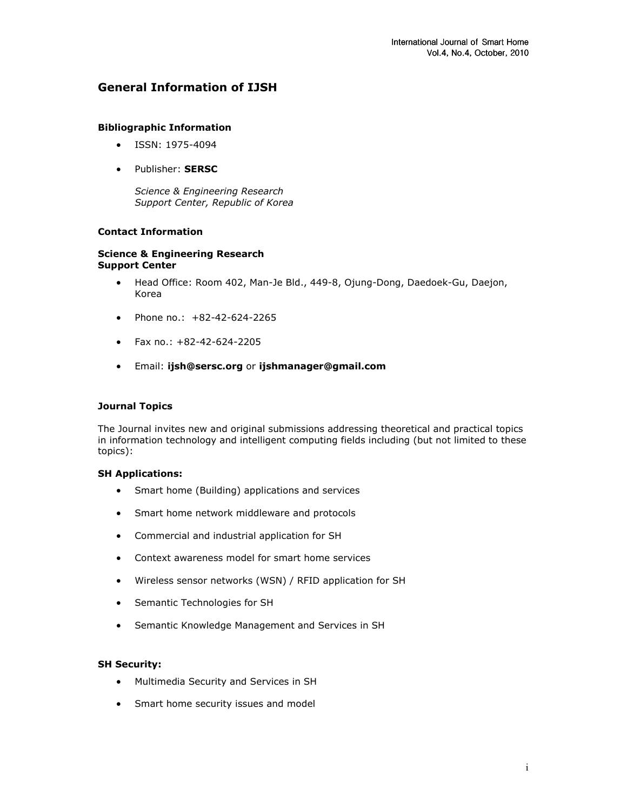## General Information of IJSH

### Bibliographic Information

- ISSN: 1975-4094
- Publisher: SERSC

Science & Engineering Research Support Center, Republic of Korea

### Contact Information

#### Science & Engineering Research Support Center

- Head Office: Room 402, Man-Je Bld., 449-8, Ojung-Dong, Daedoek-Gu, Daejon, Korea
- Phone no.: +82-42-624-2265
- Fax no.: +82-42-624-2205
- Email: ijsh@sersc.org or ijshmanager@gmail.com

### Journal Topics

The Journal invites new and original submissions addressing theoretical and practical topics in information technology and intelligent computing fields including (but not limited to these topics):

### SH Applications:

- Smart home (Building) applications and services
- Smart home network middleware and protocols
- Commercial and industrial application for SH
- Context awareness model for smart home services
- Wireless sensor networks (WSN) / RFID application for SH
- Semantic Technologies for SH
- Semantic Knowledge Management and Services in SH

### SH Security:

- Multimedia Security and Services in SH
- Smart home security issues and model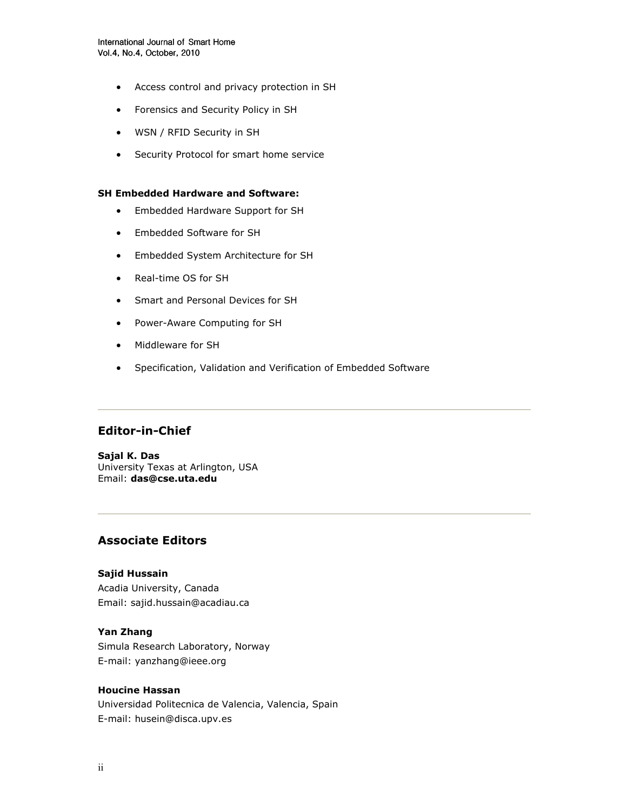- Access control and privacy protection in SH
- Forensics and Security Policy in SH
- WSN / RFID Security in SH
- Security Protocol for smart home service

### SH Embedded Hardware and Software:

- Embedded Hardware Support for SH
- Embedded Software for SH
- Embedded System Architecture for SH
- Real-time OS for SH
- Smart and Personal Devices for SH
- Power-Aware Computing for SH
- Middleware for SH
- Specification, Validation and Verification of Embedded Software

# Editor-in-Chief

Sajal K. Das University Texas at Arlington, USA Email: das@cse.uta.edu

# Associate Editors

### Sajid Hussain

Acadia University, Canada Email: sajid.hussain@acadiau.ca

### Yan Zhang

Simula Research Laboratory, Norway E-mail: yanzhang@ieee.org

## Houcine Hassan

Universidad Politecnica de Valencia, Valencia, Spain E-mail: husein@disca.upv.es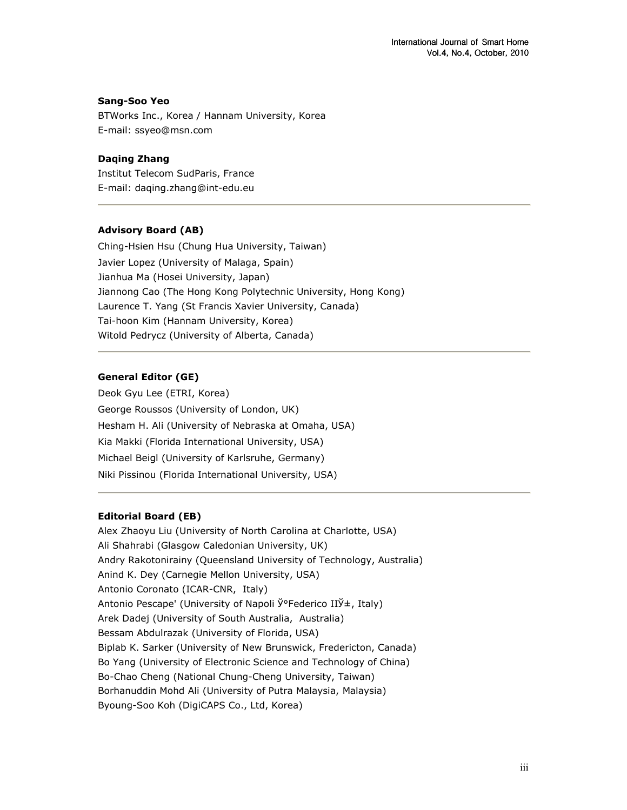### Sang-Soo Yeo

BTWorks Inc., Korea / Hannam University, Korea E-mail: ssyeo@msn.com

### Daqing Zhang

Institut Telecom SudParis, France E-mail: daqing.zhang@int-edu.eu

### Advisory Board (AB)

Ching-Hsien Hsu (Chung Hua University, Taiwan) Javier Lopez (University of Malaga, Spain) Jianhua Ma (Hosei University, Japan) Jiannong Cao (The Hong Kong Polytechnic University, Hong Kong) Laurence T. Yang (St Francis Xavier University, Canada) Tai-hoon Kim (Hannam University, Korea) Witold Pedrycz (University of Alberta, Canada)

## General Editor (GE)

Deok Gyu Lee (ETRI, Korea) George Roussos (University of London, UK) Hesham H. Ali (University of Nebraska at Omaha, USA) Kia Makki (Florida International University, USA) Michael Beigl (University of Karlsruhe, Germany) Niki Pissinou (Florida International University, USA)

## Editorial Board (EB)

Alex Zhaoyu Liu (University of North Carolina at Charlotte, USA) Ali Shahrabi (Glasgow Caledonian University, UK) Andry Rakotonirainy (Queensland University of Technology, Australia) Anind K. Dey (Carnegie Mellon University, USA) Antonio Coronato (ICAR-CNR, Italy) Antonio Pescape' (University of Napoli Ў°Federico IIЎ±, Italy) Arek Dadej (University of South Australia, Australia) Bessam Abdulrazak (University of Florida, USA) Biplab K. Sarker (University of New Brunswick, Fredericton, Canada) Bo Yang (University of Electronic Science and Technology of China) Bo-Chao Cheng (National Chung-Cheng University, Taiwan) Borhanuddin Mohd Ali (University of Putra Malaysia, Malaysia) Byoung-Soo Koh (DigiCAPS Co., Ltd, Korea)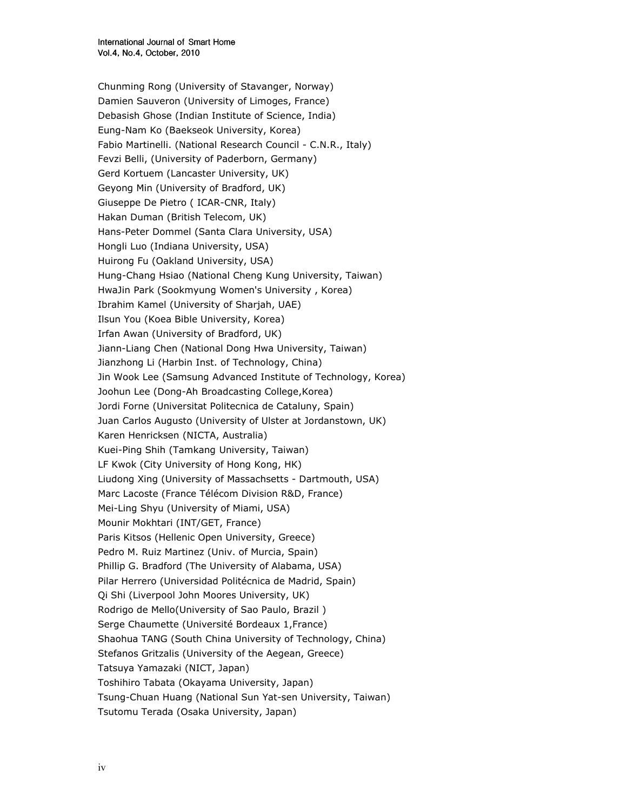Chunming Rong (University of Stavanger, Norway) Damien Sauveron (University of Limoges, France) Debasish Ghose (Indian Institute of Science, India) Eung-Nam Ko (Baekseok University, Korea) Fabio Martinelli. (National Research Council - C.N.R., Italy) Fevzi Belli, (University of Paderborn, Germany) Gerd Kortuem (Lancaster University, UK) Geyong Min (University of Bradford, UK) Giuseppe De Pietro ( ICAR-CNR, Italy) Hakan Duman (British Telecom, UK) Hans-Peter Dommel (Santa Clara University, USA) Hongli Luo (Indiana University, USA) Huirong Fu (Oakland University, USA) Hung-Chang Hsiao (National Cheng Kung University, Taiwan) HwaJin Park (Sookmyung Women's University , Korea) Ibrahim Kamel (University of Sharjah, UAE) Ilsun You (Koea Bible University, Korea) Irfan Awan (University of Bradford, UK) Jiann-Liang Chen (National Dong Hwa University, Taiwan) Jianzhong Li (Harbin Inst. of Technology, China) Jin Wook Lee (Samsung Advanced Institute of Technology, Korea) Joohun Lee (Dong-Ah Broadcasting College,Korea) Jordi Forne (Universitat Politecnica de Cataluny, Spain) Juan Carlos Augusto (University of Ulster at Jordanstown, UK) Karen Henricksen (NICTA, Australia) Kuei-Ping Shih (Tamkang University, Taiwan) LF Kwok (City University of Hong Kong, HK) Liudong Xing (University of Massachsetts - Dartmouth, USA) Marc Lacoste (France Télécom Division R&D, France) Mei-Ling Shyu (University of Miami, USA) Mounir Mokhtari (INT/GET, France) Paris Kitsos (Hellenic Open University, Greece) Pedro M. Ruiz Martinez (Univ. of Murcia, Spain) Phillip G. Bradford (The University of Alabama, USA) Pilar Herrero (Universidad Politécnica de Madrid, Spain) Qi Shi (Liverpool John Moores University, UK) Rodrigo de Mello(University of Sao Paulo, Brazil ) Serge Chaumette (Université Bordeaux 1,France) Shaohua TANG (South China University of Technology, China) Stefanos Gritzalis (University of the Aegean, Greece) Tatsuya Yamazaki (NICT, Japan) Toshihiro Tabata (Okayama University, Japan) Tsung-Chuan Huang (National Sun Yat-sen University, Taiwan) Tsutomu Terada (Osaka University, Japan)